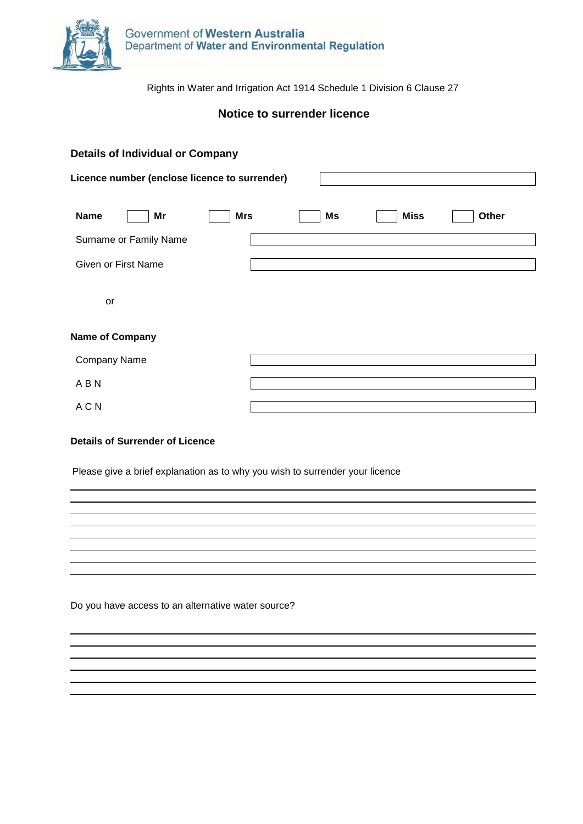

Rights in Water and Irrigation Act 1914 Schedule 1 Division 6 Clause 27

## **Notice to surrender licence**

| <b>Details of Individual or Company</b>       |            |    |             |       |  |
|-----------------------------------------------|------------|----|-------------|-------|--|
| Licence number (enclose licence to surrender) |            |    |             |       |  |
| <b>Name</b><br>Mr                             | <b>Mrs</b> | Ms | <b>Miss</b> | Other |  |
| Surname or Family Name                        |            |    |             |       |  |
| <b>Given or First Name</b>                    |            |    |             |       |  |
| or                                            |            |    |             |       |  |
| <b>Name of Company</b>                        |            |    |             |       |  |
| Company Name                                  |            |    |             |       |  |
| ABN                                           |            |    |             |       |  |
| A C N                                         |            |    |             |       |  |

## **Details of Surrender of Licence**

Please give a brief explanation as to why you wish to surrender your licence

Do you have access to an alternative water source?